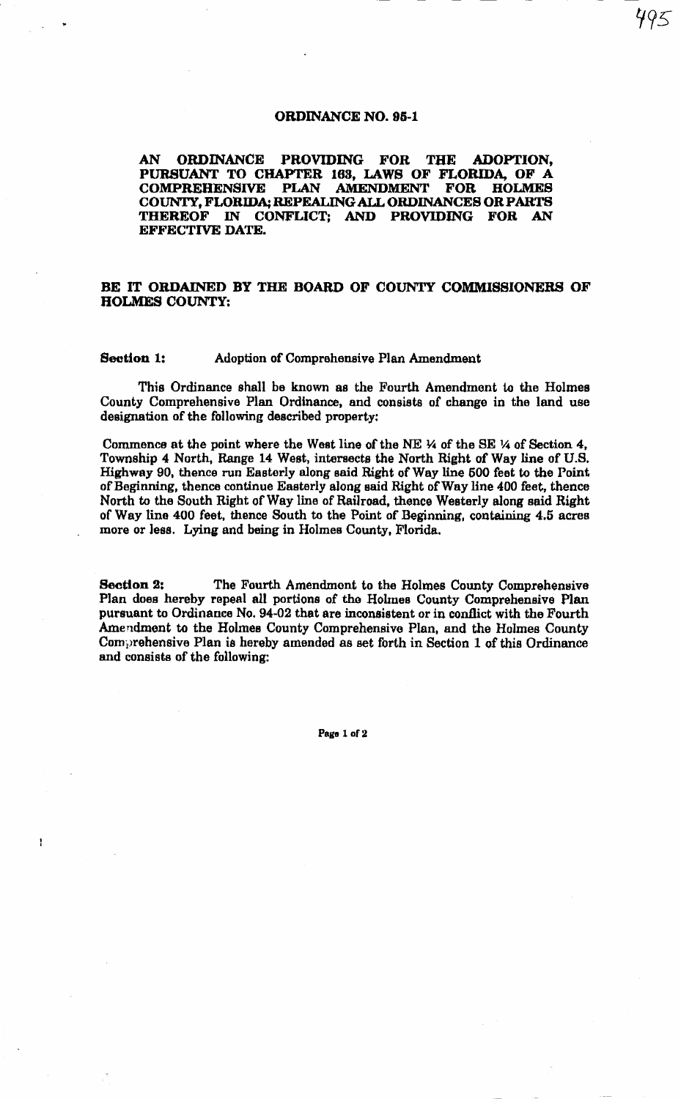## ORDINANCE NO. 98-1

AN ORDINANCE PROVIDING FOR THE ADOPTION, PURSUANT TO CHAPTER 163, LAWS OF FLORIDA, OF A COMPREHENSIVE PLAN AMENDMENT COUNTY, FLORIDA; REPEALING ALL ORDINANCES OR PARTS THEREOF IN CONFLICT; AND PROVIDING FOR AN EFFECTIVE DATE.

## BE IT ORDAINED BY THE BOARD OF COUNTY COMMISSIONERS OF HOLMES COUNTY:

## Section 1: Adoption of Comprehensive Plan Amendment

Thie Ordinance shall be known as the Fourth Amendment to the Holmes County Comprehensive Plan Ordinance, and consists of change in the land use designation of the following described property:

Commence at the point where the West line of the NE \4 of the SE 14 of Section 4, Township 4 North, Range 14 West, intersects the North Right of Way line of U.S. Highway 90, thence run Easterly along said Right of Way line 500 feet to the Point of Beginning, thence continue Easterly along said Right of Way line 400 feet, thence North to the South Right of Way line of Railroad, thence Westerly along said Right of Way lino 400 feet, thence South to the Point of Beginning, containing 4.5 acres more or less. Lying and being in Holmes County, Florida.

Section 2: The Fourth Amendment to the Holmes County Comprehensive Plan does hereby repeal all portions of the Holmes County Comprehensive Plan pursuant to Ordinance No. 94-02 that are inconsistent or in conflict with the Fourth Amendment to the Holmes County Comprehensive Plan, and the Holmes County Comprehensive Plan is hereby amended as set forth in Section 1 of this Ordinance and consists of the following:

Page 1 of 2

ł